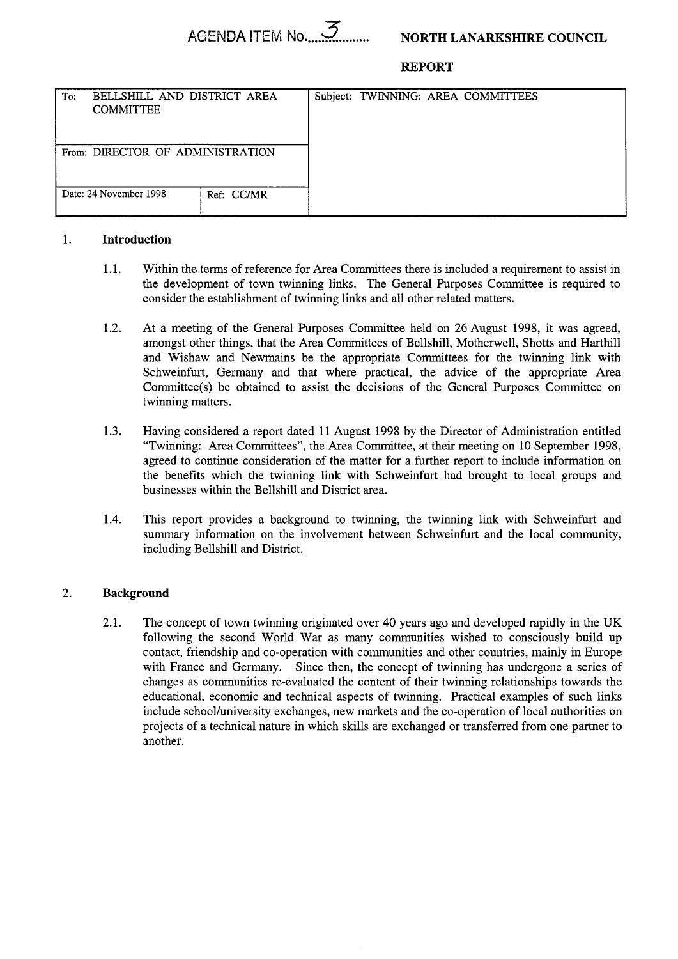# **REPORT**

| BELLSHILL AND DISTRICT AREA<br>To:<br><b>COMMITTEE</b> | Subject: TWINNING: AREA COMMITTEES |
|--------------------------------------------------------|------------------------------------|
| From: DIRECTOR OF ADMINISTRATION                       |                                    |
| Date: 24 November 1998<br>Ref: CC/MR                   |                                    |

# 1. **Introduction**

- 1.1. Within the terms of reference for Area Committees there is included a requirement to assist in the development of town twinning links. The General Purposes Committee is required to consider the establishment of twinning links and all other related matters.
- 1.2. At a meeting of the General Purposes Committee held on 26 August 1998, it was agreed, amongst other things, that the Area Committees of Bellshill, Motherwell, Shotts and Harthill and Wishaw and Newmains be the appropriate Committees for the twinning link with Schweinfurt, Germany and that where practical, the advice of the appropriate Area Committee(s) be obtained to assist the decisions of the General Purposes Committee on twinning matters.
- 1.3. Having considered a report dated 11 August 1998 by the Director of Administration entitled "Twinning: Area Committees", the Area Committee, at their meeting on 10 September 1998, agreed to continue consideration of the matter for a further report to include information on the benefits which the twinning link with Schweinfurt had brought to local groups and businesses within the Bellshill and District area.
- 1.4. This report provides a background to twinning, the twinning link with Schweinfurt and summary information on the involvement between Schweinfurt and the local community, including Bellshill and District.

# 2. **Background**

2.1. The concept of town twinning originated over 40 years ago and developed rapidly in the UK following the second World War as many communities wished to consciously build up contact, friendship and co-operation with communities and other countries, mainly in Europe with France and Germany. Since then, the concept of twinning has undergone a series of changes as communities re-evaluated the content of their twinning relationships towards the educational, economic and technical aspects of twinning. Practical examples of such links include school/university exchanges, new markets and the co-operation of local authorities on projects of a technical nature in which skills are exchanged or transferred from one partner to another.